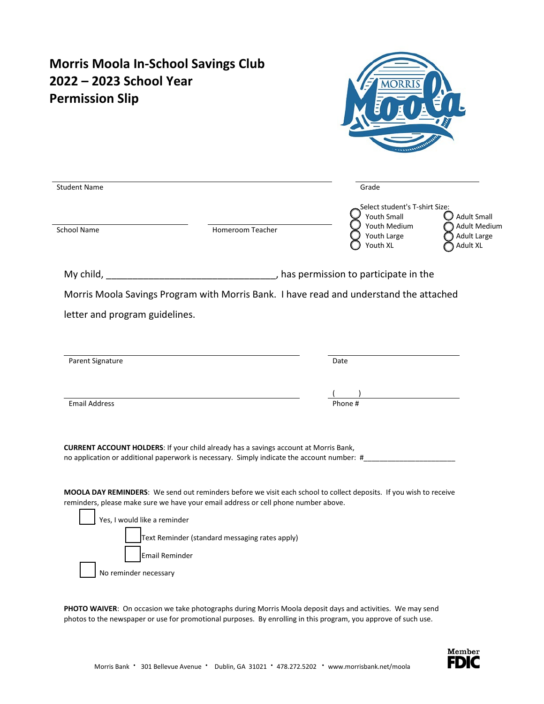| <b>Student Name</b><br>Grade                                                                                                                                                                                                                                                               | Select student's T-shirt Size:<br><b>Youth Small</b><br>Youth Medium<br>Youth Large<br>Youth XL | <b>Adult Small</b>                                           |
|--------------------------------------------------------------------------------------------------------------------------------------------------------------------------------------------------------------------------------------------------------------------------------------------|-------------------------------------------------------------------------------------------------|--------------------------------------------------------------|
|                                                                                                                                                                                                                                                                                            |                                                                                                 |                                                              |
|                                                                                                                                                                                                                                                                                            |                                                                                                 |                                                              |
| School Name<br>Homeroom Teacher                                                                                                                                                                                                                                                            |                                                                                                 | <b>Adult Medium</b><br><b>Adult Large</b><br><b>Adult XL</b> |
|                                                                                                                                                                                                                                                                                            |                                                                                                 |                                                              |
| Parent Signature<br>Date                                                                                                                                                                                                                                                                   |                                                                                                 |                                                              |
|                                                                                                                                                                                                                                                                                            |                                                                                                 |                                                              |
| <b>Email Address</b><br>Phone #<br><b>CURRENT ACCOUNT HOLDERS: If your child already has a savings account at Morris Bank,</b>                                                                                                                                                             |                                                                                                 |                                                              |
| no application or additional paperwork is necessary. Simply indicate the account number: #                                                                                                                                                                                                 |                                                                                                 |                                                              |
| MOOLA DAY REMINDERS: We send out reminders before we visit each school to collect deposits. If you wish to receive<br>reminders, please make sure we have your email address or cell phone number above.<br>Yes, I would like a reminder<br>Text Reminder (standard messaging rates apply) |                                                                                                 |                                                              |
| <b>Email Reminder</b><br>No reminder necessary                                                                                                                                                                                                                                             |                                                                                                 |                                                              |

PHOTO WAIVER: On occasion we take photographs during Morris Moola deposit days and activities. We may send photos to the newspaper or use for promotional purposes. By enrolling in this program, you approve of such use.